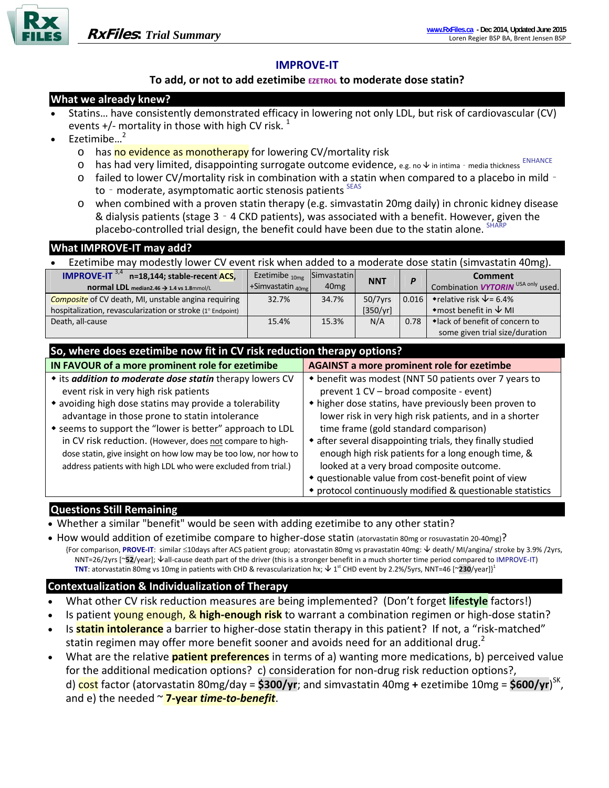

# **IMPROVE‐IT**

### **To add, or not to add ezetimibe EZETROL to moderate dose statin?**

### **What we already knew?**

- Statins… have consistently demonstrated efficacy in lowering not only LDL, but risk of cardiovascular (CV) events  $+$ /- mortality in those with high CV risk.<sup>1</sup>
- $E$ zetimibe $\frac{2}{3}$ 
	- o has no evidence as monotherapy for lowering CV/mortality risk
	- o has had very limited, disappointing surrogate outcome evidence, e.g. no  $\psi$  in intima media thickness ENHANCE
	- o failed to lower CV/mortality risk in combination with a statin when compared to a placebo in mild‐ to - moderate, asymptomatic aortic stenosis patients SEAS
	- o when combined with a proven statin therapy (e.g. simvastatin 20mg daily) in chronic kidney disease & dialysis patients (stage 3‐4 CKD patients), was associated with a benefit. However, given the placebo-controlled trial design, the benefit could have been due to the statin alone. <sup>SH.</sup>

| What IMPROVE-IT may add?                                                                            |                                                            |                                                         |            |       |                                                      |
|-----------------------------------------------------------------------------------------------------|------------------------------------------------------------|---------------------------------------------------------|------------|-------|------------------------------------------------------|
| Ezetimibe may modestly lower CV event risk when added to a moderate dose statin (simvastatin 40mg). |                                                            |                                                         |            |       |                                                      |
| <b>IMPROVE-IT 3,4</b><br>n=18,144; stable-recent ACS,                                               | Ezetimibe $_{10me}$                                        | <b>Simvastatin</b>                                      | <b>NNT</b> | P     | Comment                                              |
| normal LDL median2.46 > 1.4 vs 1.8mmol/L                                                            | +Simvastatin 40mg                                          | 40 <sub>mg</sub>                                        |            |       | Combination <b>VYTORIN</b> USA only used.            |
| <b>Composite</b> of CV death, MI, unstable angina requiring                                         | 32.7%                                                      | 34.7%                                                   | 50/7yrs    | 0.016 | • relative risk $\sqrt{2}$ = 6.4%                    |
| hospitalization, revascularization or stroke (1° Endpoint)                                          |                                                            |                                                         | [350/yr]   |       | $\bullet$ most benefit in $\overline{\downarrow}$ MI |
| Death, all-cause                                                                                    | 15.4%                                                      | 15.3%                                                   | N/A        | 0.78  | • lack of benefit of concern to                      |
|                                                                                                     |                                                            |                                                         |            |       | some given trial size/duration                       |
| So, where does ezetimibe now fit in CV risk reduction therapy options?                              |                                                            |                                                         |            |       |                                                      |
| IN FAVOUR of a more prominent role for ezetimibe                                                    |                                                            | <b>AGAINST a more prominent role for ezetimbe</b>       |            |       |                                                      |
| • its addition to moderate dose statin therapy lowers CV                                            |                                                            | ◆ benefit was modest (NNT 50 patients over 7 years to   |            |       |                                                      |
| event risk in very high risk patients                                                               |                                                            | prevent 1 CV - broad composite - event)                 |            |       |                                                      |
| • avoiding high dose statins may provide a tolerability                                             |                                                            | • higher dose statins, have previously been proven to   |            |       |                                                      |
| advantage in those prone to statin intolerance                                                      |                                                            | lower risk in very high risk patients, and in a shorter |            |       |                                                      |
| • seems to support the "lower is better" approach to LDL                                            | time frame (gold standard comparison)                      |                                                         |            |       |                                                      |
| in CV risk reduction. (However, does not compare to high-                                           | • after several disappointing trials, they finally studied |                                                         |            |       |                                                      |

dose statin, give insight on how low may be too low, nor how to address patients with high LDL who were excluded from trial.) enough high risk patients for a long enough time, & looked at a very broad composite outcome.

#### questionable value from cost‐benefit point of view

protocol continuously modified & questionable statistics

## **Questions Still Remaining**

- Whether a similar "benefit" would be seen with adding ezetimibe to any other statin?
- How would addition of ezetimibe compare to higher-dose statin (atorvastatin 80mg or rosuvastatin 20-40mg)? {For comparison, **PROVE‐IT**: similar 10days after ACS patient group; atorvastatin 80mg vs pravastatin 40mg: death/ MI/angina/ stroke by 3.9% /2yrs, NNT=26/2yrs [~52/year]; ↓all-cause death part of the driver (this is a stronger benefit in a much shorter time period compared to IMPROVE-IT) **TNT**: atorvastatin 80mg vs 10mg in patients with CHD & revascularization hx;  $\downarrow$  1<sup>st</sup> CHD event by 2.2%/5yrs, NNT=46 [~**230**/year]}<sup>1</sup>

# **Contextualization & Individualization of Therapy**

- What other CV risk reduction measures are being implemented? (Don't forget **lifestyle** factors!)
- Is patient young enough, & **high‐enough risk** to warrant a combination regimen or high‐dose statin?
- Is **statin intolerance** a barrier to higher‐dose statin therapy in this patient? If not, a "risk‐matched" statin regimen may offer more benefit sooner and avoids need for an additional drug.<sup>2</sup>
- What are the relative **patient preferences** in terms of a) wanting more medications, b) perceived value for the additional medication options? c) consideration for non-drug risk reduction options?, d) cost factor (atorvastatin 80mg/day = **\$300/yr**; and simvastatin 40mg **+** ezetimibe 10mg = **\$600/yr**) SK, and e) the needed ~ **7‐year** *time‐to‐benefit*.